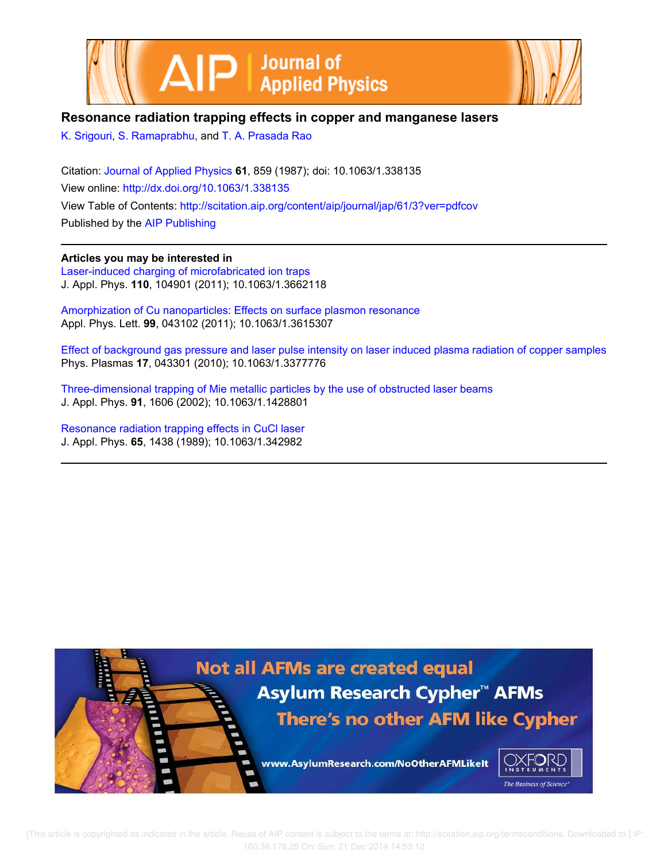



## **Resonance radiation trapping effects in copper and manganese lasers**

K. Srigouri, S. Ramaprabhu, and T. A. Prasada Rao

Citation: Journal of Applied Physics **61**, 859 (1987); doi: 10.1063/1.338135 View online: http://dx.doi.org/10.1063/1.338135 View Table of Contents: http://scitation.aip.org/content/aip/journal/jap/61/3?ver=pdfcov Published by the AIP Publishing

**Articles you may be interested in** Laser-induced charging of microfabricated ion traps J. Appl. Phys. **110**, 104901 (2011); 10.1063/1.3662118

Amorphization of Cu nanoparticles: Effects on surface plasmon resonance Appl. Phys. Lett. **99**, 043102 (2011); 10.1063/1.3615307

Effect of background gas pressure and laser pulse intensity on laser induced plasma radiation of copper samples Phys. Plasmas **17**, 043301 (2010); 10.1063/1.3377776

Three-dimensional trapping of Mie metallic particles by the use of obstructed laser beams J. Appl. Phys. **91**, 1606 (2002); 10.1063/1.1428801

Resonance radiation trapping effects in CuCl laser J. Appl. Phys. **65**, 1438 (1989); 10.1063/1.342982

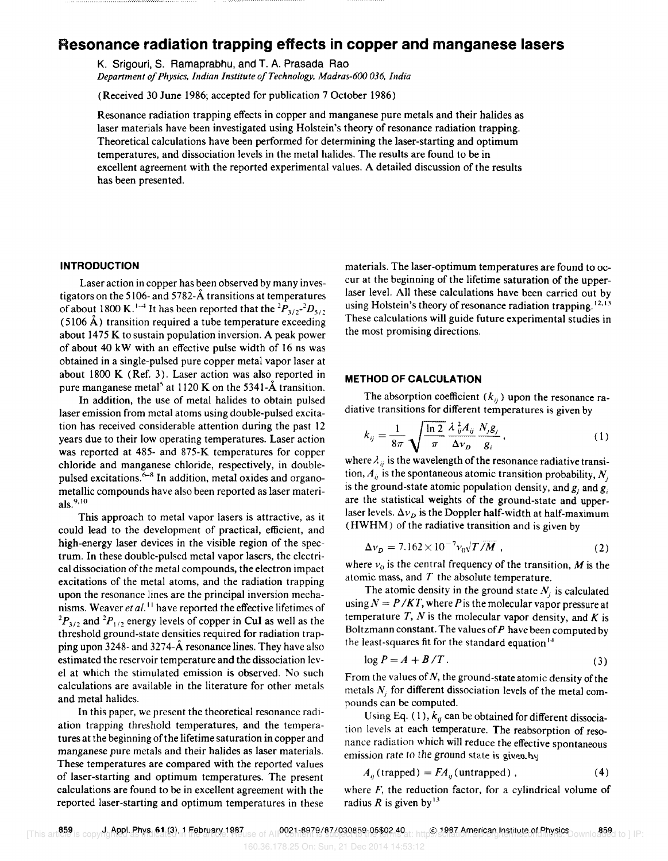# **Resonance radiation trapping effects in copper and manganese lasers**

K. Srigouri, S. Ramaprabhu, and T. A. Prasada Rao *Department 0/ Physics, Indian Institute o/Technology, Madras-600 036, India* 

(Received 30 June 1986; accepted for publication 7 October 1986)

Resonance radiation trapping effects in copper and manganese pure metals and their halides as laser materials have been investigated using Holstein's theory of resonance radiation trapping. Theoretical calculations have been performed for determining the laser-starting and optimum temperatures, and dissociation levels in the metal halides. The results are found to be in excellent agreement with the reported experimental values. A detailed discussion of the results has been presented.

### **INTRODUCTION**

Laser action in copper has been observed by many investigators on the 5106- and *5782-A.* transitions at temperatures of about 1800 K.<sup>1-4</sup> It has been reported that the  ${}^{2}P_{3/2}$ <sup>-2</sup> $D_{5/2}$ (5106 A) transition required a tube temperature exceeding about 1475 K to sustain population inversion. A peak power of about 40 kW with an effective pulse width of 16 ns was obtained in a single-pulsed pure copper metal vapor laser at about 1800 K (Ref. 3). Laser action was also reported in pure manganese metal<sup>5</sup> at 1120 K on the 5341-A transition.

In addition, the use of metal halides to obtain pulsed laser emission from metal atoms using double-pulsed excitation has received considerable attention during the past 12 years due to their low operating temperatures. Laser action was reported at 485- and 875-K temperatures for copper chloride and manganese chloride, respectively, in doublepulsed excitations. $6-8$  In addition, metal oxides and organometallic compounds have also been reported as laser materials. $^{9,10}$ 

This approach to metal vapor lasers is attractive, as it could lead to the development of practical, efficient, and high-energy laser devices in the visible region of the spectrum. In these double-pulsed metal vapor lasers, the electrical dissociation of the metal compounds, the electron impact excitations of the metal atoms, and the radiation trapping upon the resonance lines are the principal inversion mechanisms. Weaver *et al.*<sup>11</sup> have reported the effective lifetimes of  $^{2}P_{3/2}$  and  $^{2}P_{1/2}$  energy levels of copper in CuI as well as the threshold ground-state densities required for radiation trapping upon 3248- and *3274-A.* resonance lines. They have also estimated the reservoir temperature and the dissociation level at which the stimulated emission is observed. No such calculations are available in the literature for other metals and metal halides.

In this paper, we present the theoretical resonance radiation trapping threshold temperatures, and the temperatures at the beginning of the lifetime saturation in copper and manganese pure metals and their halides as laser materials. These temperatures are compared with the reported values of laser-starting and optimum temperatures. The present calculations are found to be in excellent agreement with the reported laser-starting and optimum temperatures in these

materials. The laser-optimum temperatures are found to occur at the beginning of the lifetime saturation of the upperlaser level. All these calculations have been carried out by using Holstein's theory of resonance radiation trapping.<sup>12,13</sup> These calculations will guide future experimental studies in the most promising directions.

#### **METHOD OF CALCULATION**

The absorption coefficient  $(k_{ij})$  upon the resonance ra-

diative transitions for different temperatures is given by  
\n
$$
k_{ij} = \frac{1}{8\pi} \sqrt{\frac{\ln 2}{\pi}} \frac{\lambda_{ij}^2 A_{ij}}{\Delta v_D} \frac{N_j g_j}{g_i},
$$
\n(1)

where  $\lambda_{ij}$  is the wavelength of the resonance radiative transition,  $A_{ij}$  is the spontaneous atomic transition probability,  $N_i$ is the ground-state atomic population density, and  $g_i$  and  $g_j$ are the statistical weights of the ground-state and upperlaser levels.  $\Delta v_D$  is the Doppler half-width at half-maximum (HWHM) of the radiative transition and is given by

$$
\Delta v_D = 7.162 \times 10^{-7} v_0 \sqrt{T/M} \tag{2}
$$

where  $v_0$  is the central frequency of the transition, M is the atomic mass, and  $T$  the absolute temperature.

The atomic density in the ground state  $N_i$  is calculated using  $N = P / KT$ , where *P* is the molecular vapor pressure at temperature *T, N* is the molecular vapor density, and *K* is Boltzmann constant. The values of  $P$  have been computed by the least-squares fit for the standard equation <sup>14</sup>

$$
\log P = A + B/T. \tag{3}
$$

From the values of  $N$ , the ground-state atomic density of the metals  $N_i$  for different dissociation levels of the metal compounds can be computed.

Using Eq. (1),  $k_{ij}$  can be obtained for different dissociation levels at each temperature. The reabsorption of resonance radiation which will reduce the effective spontaneous emission rate to the ground state is given by

$$
A_{ij}(\text{trapped}) = FA_{ij}(\text{untrapped}) , \qquad (4)
$$

where  $F$ , the reduction factor, for a cylindrical volume of radius *R* is given by<sup>13</sup>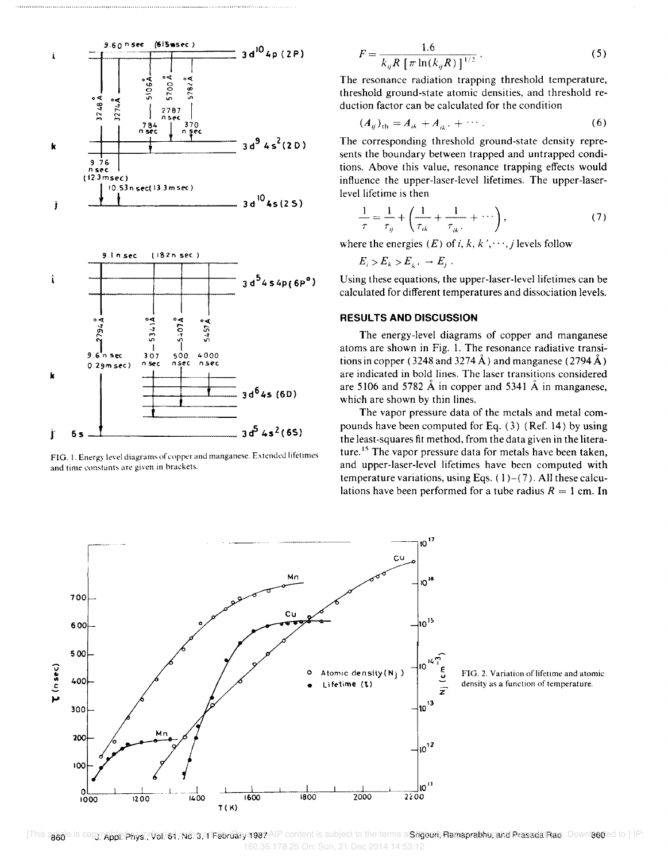

FIG. 1. Energy level diagrams of copper and manganese. Extended lifetimes and time constants are given in brackets.

$$
F = \frac{1.6}{k_{ij}R[\pi \ln(k_{ij}R)]^{1/2}}.
$$
 (5)

The resonance radiation trapping threshold temperature, threshold ground-state atomic densities, and threshold reduction factor can be calculated for the condition

$$
(A_{ij})_{\text{th}} = A_{ik} + A_{ik} + \cdots. \tag{6}
$$

The corresponding threshold ground-state density represents the boundary between trapped and untrapped conditions. Above this value, resonance trapping effects would influence the upper-laser-level lifetimes. The upper-Iaserlevel lifetime is then

$$
\frac{1}{\tau} = \frac{1}{\tau_{ij}} + \left(\frac{1}{\tau_{ik}} + \frac{1}{\tau_{ik'}} + \cdots\right),\tag{7}
$$

where the energies  $(E)$  of i, k, k', ..., j levels follow

 $E_i > E_k > E_i$ .  $\to E_i$ .

Using these equations, the upper-laser-level lifetimes can be calculated for different temperatures and dissociation levels.

### RESULTS AND DISCUSSION

The energy-level diagrams of copper and manganese atoms are shown in Fig. 1. The resonance radiative transitions in copper (3248 and 3274 Å) and manganese (2794 Å) are indicated in bold lines. The laser transitions considered are 5106 and 5782  $\AA$  in copper and 5341  $\AA$  in manganese, which are shown by thin lines.

The vapor pressure data of the metals and metal compounds have been computed for Eq. (3) (Ref. 14) by using the least-squares fit method, from the data given in the Iiterature.<sup>15</sup> The vapor pressure data for metals have been taken, and upper-laser-level lifetimes have been computed with temperature variations, using Eqs.  $(1)-(7)$ . All these calculations have been performed for a tube radius  $R = 1$  cm. In



FIG. 2. Variation of lifetime and atomic density as a function of temperature.

[This article is copyrighted as indicated indicated at February 1987 AIP content is subject to the terms a Srigouri, Ramaprabhu, and Prasada Rao. Downloaded to ] IP: 160.36.178.25 On: Sun, 21 Dec 2014 14:53:12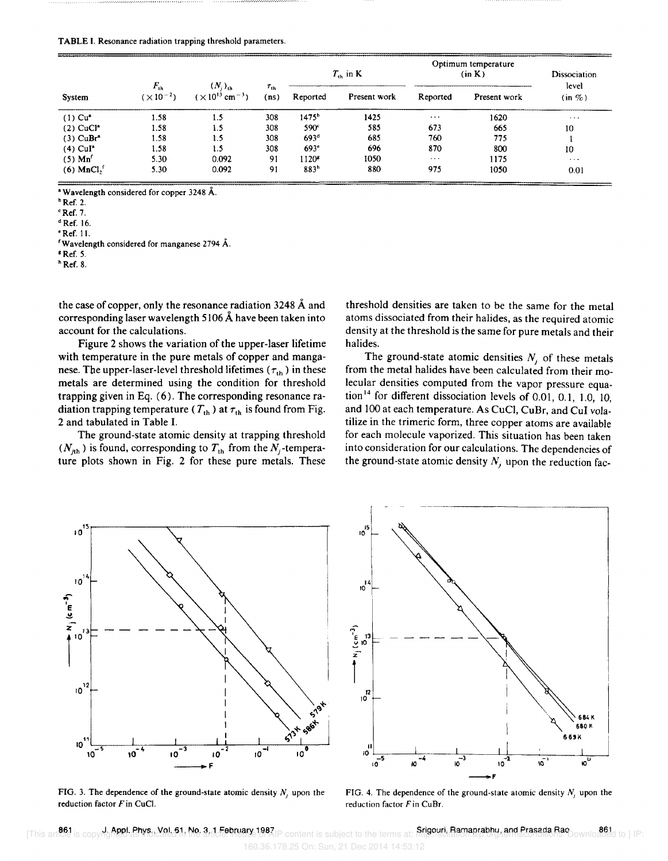| System                                     | $F_{\rm th}$<br>$(\times 10^{-2})$ | $(N_i)_v$<br>$(\times 10^{13} \text{ cm}^{-3})$ | $\tau_{\text{th}}$<br>(ns) | $T_{\rm in}$ in K |              | Optimum temperature<br>(in K) |              | Dissociation         |
|--------------------------------------------|------------------------------------|-------------------------------------------------|----------------------------|-------------------|--------------|-------------------------------|--------------|----------------------|
|                                            |                                    |                                                 |                            | Reported          | Present work | Reported                      | Present work | level<br>$(in \%)$   |
| $(1)$ Cu <sup><math>\bullet</math></sup>   | 1.58                               | 1.5                                             | 308                        | 1475 <sup>b</sup> | 1425         | $\cdots$                      | 1620         | $\sim$ $\sim$ $\sim$ |
| $(2)$ CuCl <sup>*</sup>                    | 1.58                               | 1.5                                             | 308                        | 590 <sup>e</sup>  | 585          | 673                           | 665          | 10                   |
| $(3)$ CuBr <sup>a</sup>                    | 1.58                               | 1.5                                             | 308                        | 693 <sup>d</sup>  | 685          | 760                           | 775          |                      |
| $(4)$ CuI <sup>*</sup>                     | 1.58                               | 1.5                                             | 308                        | 693 <sup>c</sup>  | 696          | 870                           | 800          | 10                   |
| $(5)$ Mn <sup><math>\prime</math></sup>    | 5.30                               | 0.092                                           | 91                         | 1120 <sup>8</sup> | 1050         | $\cdots$                      | 1175         | $\cdots$             |
| $(6)$ MnCl, <sup><math>\lceil</math></sup> | 5.30                               | 0.092                                           | 91                         | 883 <sup>h</sup>  | 880          | 975                           | 1050         | 0.01                 |

• Wavelength considered for copper 3248 A.

 $b$  Ref. 2.

 $c$  Ref. 7.

<sup>d</sup>Ref. 16.

 $Ref. 11$ .

fWavelength considered for manganese 2794 A.

<sup>8</sup> Ref. 5.

 $<sup>h</sup>$  Ref. 8.</sup>

the case of copper, only the resonance radiation 3248 A and corresponding laser wavelength 5106 A have been taken into account for the calculations.

Figure 2 shows the variation of the upper-laser lifetime with temperature in the pure metals of copper and manganese. The upper-laser-level threshold lifetimes ( $\tau_{th}$ ) in these metals are determined using the condition for threshold trapping given in Eq. (6). The corresponding resonance radiation trapping temperature ( $T_{\text{th}}$ ) at  $\tau_{\text{th}}$  is found from Fig. 2 and tabulated in Table I.

The ground-state atomic density at trapping threshold  $(N_{jth})$  is found, corresponding to  $T_{th}$  from the  $N_j$ -temperature plots shown in Fig. 2 for these pure metals. These threshold densities are taken to be the same for the metal atoms dissociated from their halides, as the required atomic density at the threshold is the same for pure metals and their halides.

The ground-state atomic densities  $N_i$  of these metals from the metal halides have been calculated from their molecular densities computed from the vapor pressure equation<sup>14</sup> for different dissociation levels of 0.01, 0.1, 1.0, 10, and 100 at each temperature. As CuCl, CuBr, and CuI volatilize in the trimeric form, three copper atoms are available for each molecule vaporized. This situation has been taken into consideration for our calculations. The dependencies of the ground-state atomic density  $N_i$  upon the reduction fac-



FIG. 3. The dependence of the ground-state atomic density  $N_i$  upon the reduction factor *Fin* CuC!.



FIG. 4. The dependence of the ground-state atomic density  $N_i$ , upon the reduction factor *Fin* CuBr.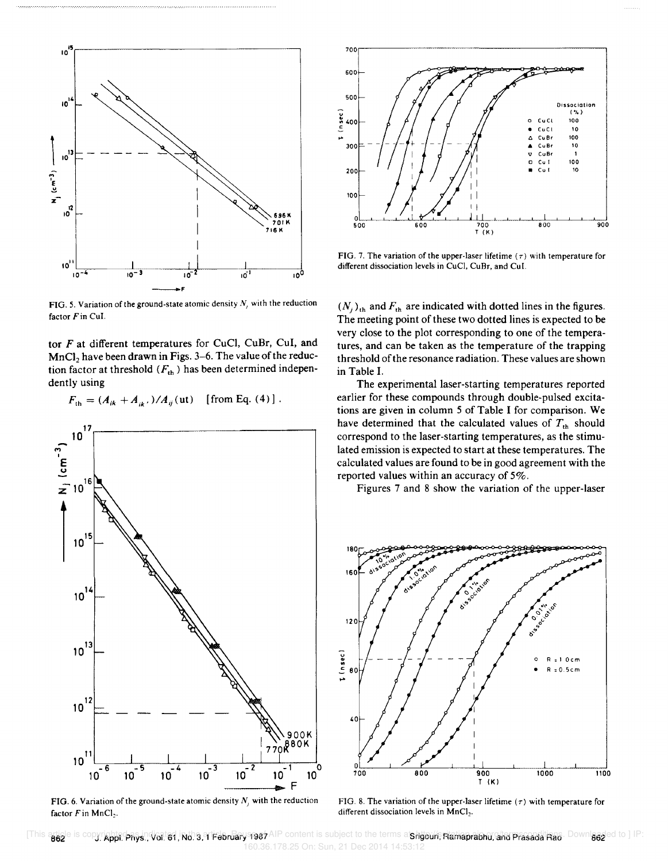

FIG. 5. Variation of the ground-state atomic density  $N$ , with the reduction factor  $F$  in CuI.

tor F at different temperatures for CuCl, CuBr, CuI, and  $MnCl<sub>2</sub>$  have been drawn in Figs. 3-6. The value of the reduction factor at threshold  $(F<sub>th</sub>)$  has been determined independently using

 $F_{\text{th}} = (A_{ik} + A_{ik})/A_{ij}$  (ut) [from Eq. (4)].



FIG. 6. Variation of the ground-state atomic density  $N_j$ , with the reduction factor *Fin* MnCl,.



FIG. 7. The variation of the upper-laser lifetime ( $\tau$ ) with temperature for different dissociation levels in CuCl, CuBr, and CuI.

 $(N_j)_{\text{th}}$  and  $F_{\text{th}}$  are indicated with dotted lines in the figures. The meeting point of these two dotted lines is expected to be very close to the plot corresponding to one of the temperatures, and can be taken as the temperature of the trapping threshold of the resonance radiation. These values are shown in Table I.

The experimental laser-starting temperatures reported earlier for these compounds through double-pulsed excitations are given in column 5 of Table I for comparison. We have determined that the calculated values of  $T_{th}$  should correspond to the laser-starting temperatures, as the stimulated emission is expected to start at these temperatures. The calculated values are found to be in good agreement with the reported values within an accuracy of 5%.

Figures 7 and 8 show the variation of the upper-laser



FIG. 8. The variation of the upper-laser lifetime  $(\tau)$  with temperature for different dissociation levels in MnCl<sub>2</sub>.

[This atiale is copyright; physinValis4, Nons, Trabruary 1987 AIP content is subject to the terms a **Shgouri, Hamaprabhu, and Prasada Rac**. Downlassed to ] IP: 160.36.178.25 On: Sun, 21 Dec 2014 14:53:12